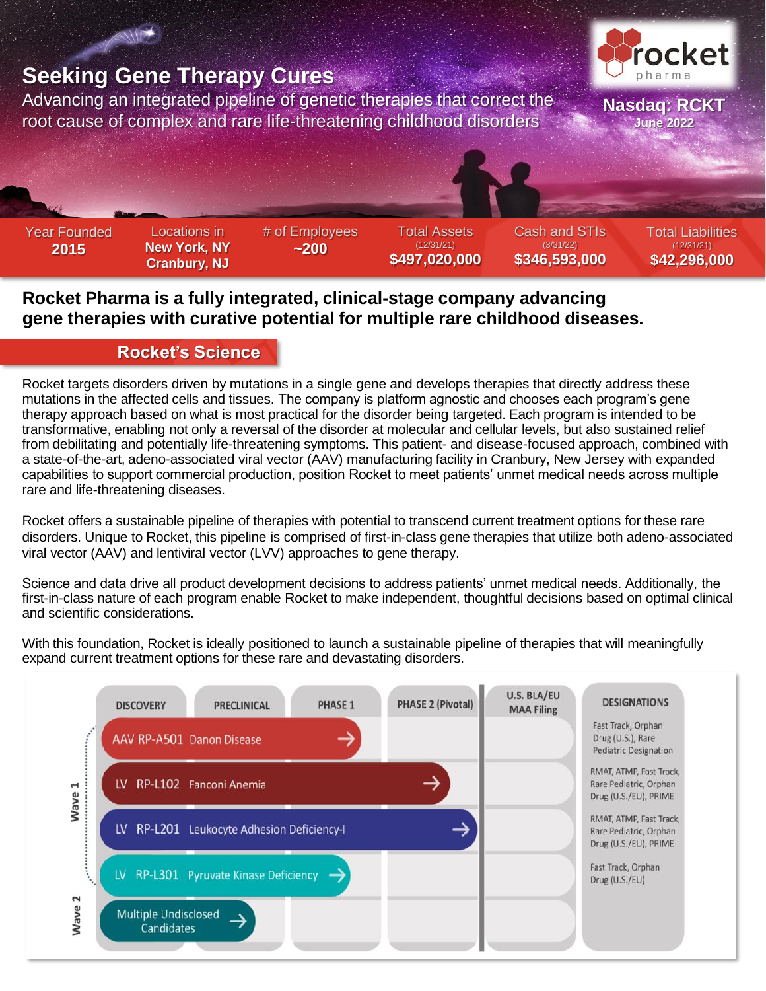

# **Rocket Pharma is a fully integrated, clinical-stage company advancing gene therapies with curative potential for multiple rare childhood diseases.**

#### **Rocket's Science**

Rocket targets disorders driven by mutations in a single gene and develops therapies that directly address these mutations in the affected cells and tissues. The company is platform agnostic and chooses each program's gene therapy approach based on what is most practical for the disorder being targeted. Each program is intended to be transformative, enabling not only a reversal of the disorder at molecular and cellular levels, but also sustained relief from debilitating and potentially life-threatening symptoms. This patient- and disease-focused approach, combined with a state-of-the-art, adeno-associated viral vector (AAV) manufacturing facility in Cranbury, New Jersey with expanded capabilities to support commercial production, position Rocket to meet patients' unmet medical needs across multiple rare and life-threatening diseases.

Rocket offers a sustainable pipeline of therapies with potential to transcend current treatment options for these rare disorders. Unique to Rocket, this pipeline is comprised of first-in-class gene therapies that utilize both adeno-associated viral vector (AAV) and lentiviral vector (LVV) approaches to gene therapy.

Science and data drive all product development decisions to address patients' unmet medical needs. Additionally, the first-in-class nature of each program enable Rocket to make independent, thoughtful decisions based on optimal clinical and scientific considerations.

With this foundation, Rocket is ideally positioned to launch a sustainable pipeline of therapies that will meaningfully expand current treatment options for these rare and devastating disorders.